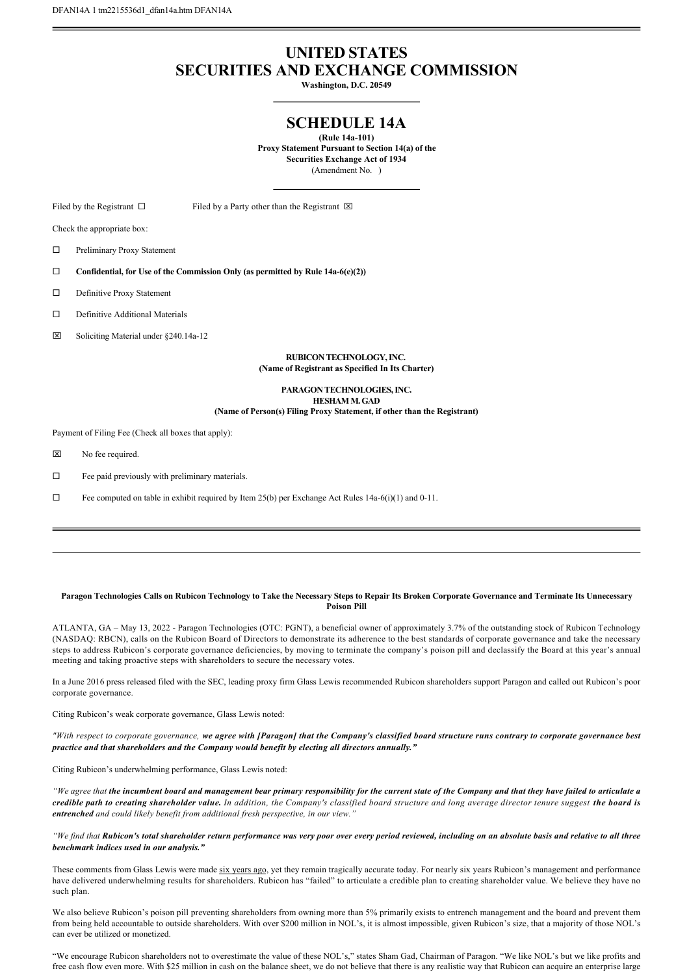## **UNITED STATES SECURITIES AND EXCHANGE COMMISSION**

**Washington, D.C. 20549**

## **SCHEDULE 14A**

**(Rule 14a101) Proxy Statement Pursuant to Section 14(a) of the Securities Exchange Act of 1934** (Amendment No. )

Filed by the Registrant  $\square$  Filed by a Party other than the Registrant  $\square$ 

Check the appropriate box:

 $\square$  Preliminary Proxy Statement

□ Confidential, for Use of the Commission Only (as permitted by Rule 14a-6(e)(2))

 $\square$  Definitive Proxy Statement

 $\square$  Definitive Additional Materials

 $\boxtimes$  Soliciting Material under §240.14a-12

**RUBICON TECHNOLOGY, INC. (Name of Registrant as Specified In Its Charter)**

**PARAGON TECHNOLOGIES, INC. HESHAM M. GAD (Name of Person(s) Filing Proxy Statement, if other than the Registrant)**

Payment of Filing Fee (Check all boxes that apply):

 $\boxtimes$  No fee required.

 $\square$  Fee paid previously with preliminary materials.

 $\Box$  Fee computed on table in exhibit required by Item 25(b) per Exchange Act Rules 14a-6(i)(1) and 0-11.

## **Paragon Technologies Calls on Rubicon Technology to Take the Necessary Steps to Repair Its Broken Corporate Governance and Terminate Its Unnecessary Poison Pill**

ATLANTA, GA – May 13, 2022 Paragon Technologies (OTC: PGNT), a beneficial owner of approximately 3.7% of the outstanding stock of Rubicon Technology (NASDAQ: RBCN), calls on the Rubicon Board of Directors to demonstrate its adherence to the best standards of corporate governance and take the necessary steps to address Rubicon's corporate governance deficiencies, by moving to terminate the company's poison pill and declassify the Board at this year's annual meeting and taking proactive steps with shareholders to secure the necessary votes.

In a June 2016 press released filed with the SEC, leading proxy firm Glass Lewis recommended Rubicon shareholders support Paragon and called out Rubicon's poor corporate governance.

Citing Rubicon's weak corporate governance, Glass Lewis noted:

*"With respect to corporate governance, we agree with [Paragon] that the Company's classified board structure runs contrary to corporate governance best practice and that shareholders and the Company would benefit by electing all directors annually."*

Citing Rubicon's underwhelming performance, Glass Lewis noted:

*"We agree that the incumbent board and management bear primary responsibility for the current state of the Company and that they have failed to articulate a credible path to creating shareholder value. In addition, the Company's classified board structure and long average director tenure suggest the board is entrenched and could likely benefit from additional fresh perspective, in our view."*

*"We find that Rubicon's total shareholder return performance was very poor over every period reviewed, including on an absolute basis and relative to all three benchmark indices used in our analysis."*

These comments from Glass Lewis were made six years ago, yet they remain tragically accurate today. For nearly six years Rubicon's management and performance have delivered underwhelming results for shareholders. Rubicon has "failed" to articulate a credible plan to creating shareholder value. We believe they have no such plan.

We also believe Rubicon's poison pill preventing shareholders from owning more than 5% primarily exists to entrench management and the board and prevent them from being held accountable to outside shareholders. With over \$200 million in NOL's, it is almost impossible, given Rubicon's size, that a majority of those NOL's can ever be utilized or monetized.

"We encourage Rubicon shareholders not to overestimate the value of these NOL's," states Sham Gad, Chairman of Paragon. "We like NOL's but we like profits and free cash flow even more. With \$25 million in cash on the balance sheet, we do not believe that there is any realistic way that Rubicon can acquire an enterprise large